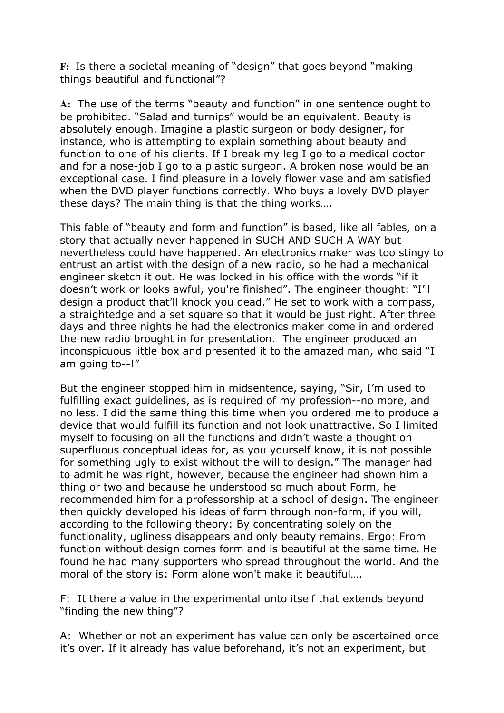**F:** Is there a societal meaning of "design" that goes beyond "making things beautiful and functional"?

**A:** The use of the terms "beauty and function" in one sentence ought to be prohibited. "Salad and turnips" would be an equivalent. Beauty is absolutely enough. Imagine a plastic surgeon or body designer, for instance, who is attempting to explain something about beauty and function to one of his clients. If I break my leg I go to a medical doctor and for a nose-job I go to a plastic surgeon. A broken nose would be an exceptional case. I find pleasure in a lovely flower vase and am satisfied when the DVD player functions correctly. Who buys a lovely DVD player these days? The main thing is that the thing works….

This fable of "beauty and form and function" is based, like all fables, on a story that actually never happened in SUCH AND SUCH A WAY but nevertheless could have happened. An electronics maker was too stingy to entrust an artist with the design of a new radio, so he had a mechanical engineer sketch it out. He was locked in his office with the words "if it doesn't work or looks awful, you're finished". The engineer thought: "I'll design a product that'll knock you dead." He set to work with a compass, a straightedge and a set square so that it would be just right. After three days and three nights he had the electronics maker come in and ordered the new radio brought in for presentation. The engineer produced an inconspicuous little box and presented it to the amazed man, who said "I am going to--!"

But the engineer stopped him in midsentence, saying, "Sir, I'm used to fulfilling exact guidelines, as is required of my profession--no more, and no less. I did the same thing this time when you ordered me to produce a device that would fulfill its function and not look unattractive. So I limited myself to focusing on all the functions and didn't waste a thought on superfluous conceptual ideas for, as you yourself know, it is not possible for something ugly to exist without the will to design." The manager had to admit he was right, however, because the engineer had shown him a thing or two and because he understood so much about Form, he recommended him for a professorship at a school of design. The engineer then quickly developed his ideas of form through non-form, if you will, according to the following theory: By concentrating solely on the functionality, ugliness disappears and only beauty remains. Ergo: From function without design comes form and is beautiful at the same time**.** He found he had many supporters who spread throughout the world. And the moral of the story is: Form alone won't make it beautiful….

F: It there a value in the experimental unto itself that extends beyond "finding the new thing"?

A: Whether or not an experiment has value can only be ascertained once it's over. If it already has value beforehand, it's not an experiment, but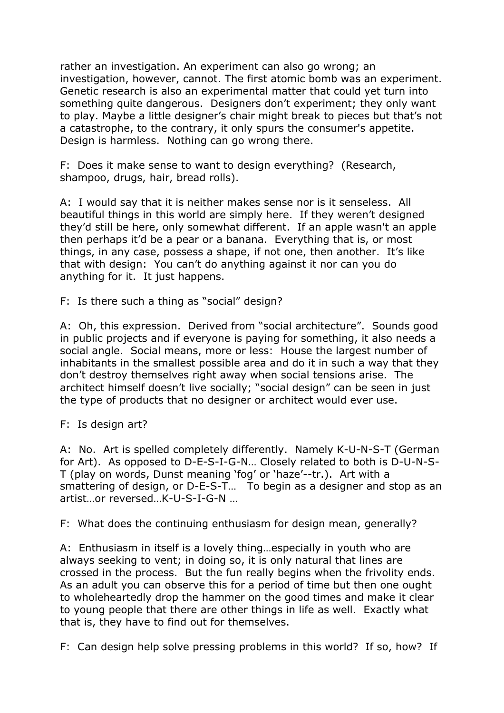rather an investigation. An experiment can also go wrong; an investigation, however, cannot. The first atomic bomb was an experiment. Genetic research is also an experimental matter that could yet turn into something quite dangerous. Designers don't experiment; they only want to play. Maybe a little designer's chair might break to pieces but that's not a catastrophe, to the contrary, it only spurs the consumer's appetite. Design is harmless. Nothing can go wrong there.

F: Does it make sense to want to design everything? (Research, shampoo, drugs, hair, bread rolls).

A: I would say that it is neither makes sense nor is it senseless. All beautiful things in this world are simply here. If they weren't designed they'd still be here, only somewhat different. If an apple wasn't an apple then perhaps it'd be a pear or a banana. Everything that is, or most things, in any case, possess a shape, if not one, then another. It's like that with design: You can't do anything against it nor can you do anything for it. It just happens.

F: Is there such a thing as "social" design?

A: Oh, this expression. Derived from "social architecture". Sounds good in public projects and if everyone is paying for something, it also needs a social angle. Social means, more or less: House the largest number of inhabitants in the smallest possible area and do it in such a way that they don't destroy themselves right away when social tensions arise. The architect himself doesn't live socially; "social design" can be seen in just the type of products that no designer or architect would ever use.

F: Is design art?

A: No. Art is spelled completely differently. Namely K-U-N-S-T (German for Art). As opposed to D-E-S-I-G-N… Closely related to both is D-U-N-S-T (play on words, Dunst meaning 'fog' or 'haze'--tr.). Art with a smattering of design, or D-E-S-T… To begin as a designer and stop as an artist…or reversed…K-U-S-I-G-N …

F: What does the continuing enthusiasm for design mean, generally?

A: Enthusiasm in itself is a lovely thing…especially in youth who are always seeking to vent; in doing so, it is only natural that lines are crossed in the process. But the fun really begins when the frivolity ends. As an adult you can observe this for a period of time but then one ought to wholeheartedly drop the hammer on the good times and make it clear to young people that there are other things in life as well. Exactly what that is, they have to find out for themselves.

F: Can design help solve pressing problems in this world? If so, how? If